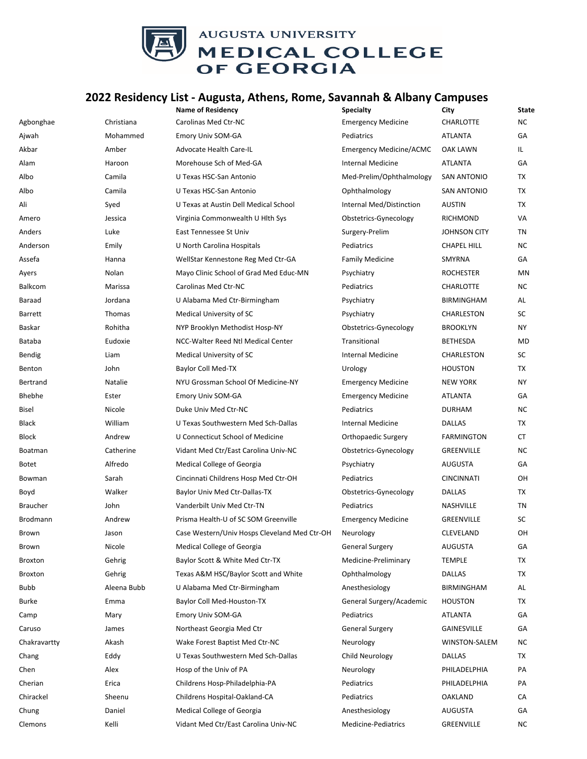

## **2022 Residency List ‐ Augusta, Athens, Rome, Savannah & Albany Campuses**

|                 |             | <b>Name of Residency</b>                     | <b>Specialty</b>               | City                | <b>State</b> |
|-----------------|-------------|----------------------------------------------|--------------------------------|---------------------|--------------|
| Agbonghae       | Christiana  | <b>Carolinas Med Ctr-NC</b>                  | <b>Emergency Medicine</b>      | CHARLOTTE           | <b>NC</b>    |
| Ajwah           | Mohammed    | Emory Univ SOM-GA                            | Pediatrics                     | ATLANTA             | GA           |
| Akbar           | Amber       | Advocate Health Care-IL                      | <b>Emergency Medicine/ACMC</b> | OAK LAWN            | IL.          |
| Alam            | Haroon      | Morehouse Sch of Med-GA                      | Internal Medicine              | <b>ATLANTA</b>      | GA           |
| Albo            | Camila      | U Texas HSC-San Antonio                      | Med-Prelim/Ophthalmology       | <b>SAN ANTONIO</b>  | TX           |
| Albo            | Camila      | U Texas HSC-San Antonio                      | Ophthalmology                  | <b>SAN ANTONIO</b>  | TX           |
| Ali             | Syed        | U Texas at Austin Dell Medical School        | Internal Med/Distinction       | <b>AUSTIN</b>       | TX           |
| Amero           | Jessica     | Virginia Commonwealth U Hlth Sys             | Obstetrics-Gynecology          | <b>RICHMOND</b>     | VA           |
| Anders          | Luke        | East Tennessee St Univ                       | Surgery-Prelim                 | <b>JOHNSON CITY</b> | TN           |
| Anderson        | Emily       | U North Carolina Hospitals                   | Pediatrics                     | CHAPEL HILL         | NC.          |
| Assefa          | Hanna       | WellStar Kennestone Reg Med Ctr-GA           | <b>Family Medicine</b>         | SMYRNA              | GA           |
| Ayers           | Nolan       | Mayo Clinic School of Grad Med Educ-MN       | Psychiatry                     | <b>ROCHESTER</b>    | ΜN           |
| Balkcom         | Marissa     | Carolinas Med Ctr-NC                         | Pediatrics                     | <b>CHARLOTTE</b>    | NC.          |
| Baraad          | Jordana     | U Alabama Med Ctr-Birmingham                 | Psychiatry                     | <b>BIRMINGHAM</b>   | AL           |
| <b>Barrett</b>  | Thomas      | Medical University of SC                     | Psychiatry                     | CHARLESTON          | SC           |
| Baskar          | Rohitha     | NYP Brooklyn Methodist Hosp-NY               | Obstetrics-Gynecology          | <b>BROOKLYN</b>     | ΝY           |
| Bataba          | Eudoxie     | NCC-Walter Reed Ntl Medical Center           | Transitional                   | <b>BETHESDA</b>     | MD           |
| Bendig          | Liam        | Medical University of SC                     | <b>Internal Medicine</b>       | CHARLESTON          | SC           |
| Benton          | John        | Baylor Coll Med-TX                           | Urology                        | <b>HOUSTON</b>      | TX           |
| Bertrand        | Natalie     | NYU Grossman School Of Medicine-NY           | <b>Emergency Medicine</b>      | <b>NEW YORK</b>     | ΝY           |
| Bhebhe          | Ester       | Emory Univ SOM-GA                            | <b>Emergency Medicine</b>      | <b>ATLANTA</b>      | GA           |
| <b>Bisel</b>    | Nicole      | Duke Univ Med Ctr-NC                         | Pediatrics                     | <b>DURHAM</b>       | ΝC           |
| Black           | William     | U Texas Southwestern Med Sch-Dallas          | Internal Medicine              | DALLAS              | TX           |
| Block           | Andrew      | U Connecticut School of Medicine             | Orthopaedic Surgery            | <b>FARMINGTON</b>   | СT           |
| Boatman         | Catherine   | Vidant Med Ctr/East Carolina Univ-NC         | Obstetrics-Gynecology          | GREENVILLE          | ΝC           |
| <b>Botet</b>    | Alfredo     | Medical College of Georgia                   | Psychiatry                     | AUGUSTA             | GА           |
| Bowman          | Sarah       | Cincinnati Childrens Hosp Med Ctr-OH         | Pediatrics                     | <b>CINCINNATI</b>   | OН           |
| Boyd            | Walker      | Baylor Univ Med Ctr-Dallas-TX                | Obstetrics-Gynecology          | <b>DALLAS</b>       | TX           |
| <b>Braucher</b> | John        | Vanderbilt Univ Med Ctr-TN                   | Pediatrics                     | NASHVILLE           | TN           |
| Brodmann        | Andrew      | Prisma Health-U of SC SOM Greenville         | <b>Emergency Medicine</b>      | GREENVILLE          | SC           |
| Brown           | Jason       | Case Western/Univ Hosps Cleveland Med Ctr-OH | Neurology                      | CLEVELAND           | OН           |
| Brown           | Nicole      | Medical College of Georgia                   | General Surgery                | AUGUSTA             | GА           |
| Broxton         | Gehrig      | Baylor Scott & White Med Ctr-TX              | Medicine-Preliminary           | <b>TEMPLE</b>       | TX           |
| Broxton         | Gehrig      | Texas A&M HSC/Baylor Scott and White         | Ophthalmology                  | <b>DALLAS</b>       | TX           |
| Bubb            | Aleena Bubb | U Alabama Med Ctr-Birmingham                 | Anesthesiology                 | <b>BIRMINGHAM</b>   | AL           |
| Burke           | Emma        | <b>Baylor Coll Med-Houston-TX</b>            | General Surgery/Academic       | <b>HOUSTON</b>      | TX           |
| Camp            | Mary        | Emory Univ SOM-GA                            | Pediatrics                     | ATLANTA             | GА           |
| Caruso          | James       | Northeast Georgia Med Ctr                    | <b>General Surgery</b>         | GAINESVILLE         | GА           |
| Chakravartty    | Akash       | Wake Forest Baptist Med Ctr-NC               | Neurology                      | WINSTON-SALEM       | ΝC           |
| Chang           | Eddy        | U Texas Southwestern Med Sch-Dallas          | Child Neurology                | DALLAS              | TX           |
| Chen            | Alex        | Hosp of the Univ of PA                       | Neurology                      | PHILADELPHIA        | PA           |
| Cherian         | Erica       | Childrens Hosp-Philadelphia-PA               | Pediatrics                     | PHILADELPHIA        | PA           |
| Chirackel       | Sheenu      | Childrens Hospital-Oakland-CA                | Pediatrics                     | OAKLAND             | CA           |
| Chung           | Daniel      | Medical College of Georgia                   | Anesthesiology                 | AUGUSTA             | GA           |
| Clemons         | Kelli       | Vidant Med Ctr/East Carolina Univ-NC         | Medicine-Pediatrics            | GREENVILLE          | ΝC           |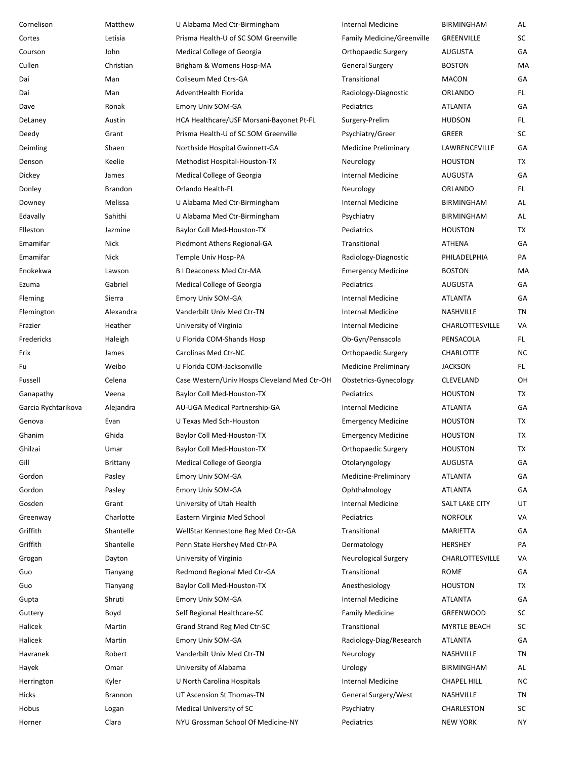| Cornelison          | Matthew        | U Alabama Med Ctr-Birmingham                 | Internal Medicine                 | <b>BIRMINGHAM</b>  | AL        |
|---------------------|----------------|----------------------------------------------|-----------------------------------|--------------------|-----------|
| Cortes              | Letisia        | Prisma Health-U of SC SOM Greenville         | <b>Family Medicine/Greenville</b> | GREENVILLE         | SC        |
| Courson             | John           | <b>Medical College of Georgia</b>            | Orthopaedic Surgery               | AUGUSTA            | GA        |
| Cullen              | Christian      | Brigham & Womens Hosp-MA                     | <b>General Surgery</b>            | <b>BOSTON</b>      | MA        |
| Dai                 | Man            | Coliseum Med Ctrs-GA                         | Transitional                      | <b>MACON</b>       | GA        |
| Dai                 | Man            | AdventHealth Florida                         | Radiology-Diagnostic              | <b>ORLANDO</b>     | FL.       |
| Dave                | Ronak          | Emory Univ SOM-GA                            | Pediatrics                        | ATLANTA            | GA        |
| DeLaney             | Austin         | HCA Healthcare/USF Morsani-Bayonet Pt-FL     | Surgery-Prelim                    | <b>HUDSON</b>      | FL.       |
| Deedy               | Grant          | Prisma Health-U of SC SOM Greenville         | Psychiatry/Greer                  | GREER              | SC        |
| Deimling            | Shaen          | Northside Hospital Gwinnett-GA               | <b>Medicine Preliminary</b>       | LAWRENCEVILLE      | GA        |
| Denson              | Keelie         | Methodist Hospital-Houston-TX                | Neurology                         | <b>HOUSTON</b>     | TX        |
| Dickey              | James          | Medical College of Georgia                   | <b>Internal Medicine</b>          | <b>AUGUSTA</b>     | GA        |
| Donley              | <b>Brandon</b> | Orlando Health-FL                            | Neurology                         | <b>ORLANDO</b>     | FL.       |
| Downey              | Melissa        | U Alabama Med Ctr-Birmingham                 | <b>Internal Medicine</b>          | <b>BIRMINGHAM</b>  | AL        |
| Edavally            | Sahithi        | U Alabama Med Ctr-Birmingham                 | Psychiatry                        | <b>BIRMINGHAM</b>  | AL        |
| Elleston            | Jazmine        | Baylor Coll Med-Houston-TX                   | Pediatrics                        | <b>HOUSTON</b>     | TX        |
| Emamifar            | Nick           | Piedmont Athens Regional-GA                  | Transitional                      | <b>ATHENA</b>      | GA        |
| Emamifar            | Nick           | Temple Univ Hosp-PA                          | Radiology-Diagnostic              | PHILADELPHIA       | PA        |
| Enokekwa            | Lawson         | <b>BI Deaconess Med Ctr-MA</b>               | <b>Emergency Medicine</b>         | <b>BOSTON</b>      | MA        |
| Ezuma               | Gabriel        | Medical College of Georgia                   | Pediatrics                        | AUGUSTA            | GA        |
| Fleming             | Sierra         | Emory Univ SOM-GA                            | <b>Internal Medicine</b>          | ATLANTA            | GA        |
| Flemington          | Alexandra      | Vanderbilt Univ Med Ctr-TN                   | <b>Internal Medicine</b>          | NASHVILLE          | TN        |
| Frazier             | Heather        | University of Virginia                       | <b>Internal Medicine</b>          | CHARLOTTESVILLE    | VA        |
| Fredericks          | Haleigh        | U Florida COM-Shands Hosp                    | Ob-Gyn/Pensacola                  | PENSACOLA          | FL.       |
| Frix                | James          | Carolinas Med Ctr-NC                         | Orthopaedic Surgery               | CHARLOTTE          | <b>NC</b> |
| Fu                  | Weibo          | U Florida COM-Jacksonville                   | <b>Medicine Preliminary</b>       | <b>JACKSON</b>     | FL.       |
| Fussell             | Celena         | Case Western/Univ Hosps Cleveland Med Ctr-OH | Obstetrics-Gynecology             | CLEVELAND          | OH        |
| Ganapathy           | Veena          | Baylor Coll Med-Houston-TX                   | Pediatrics                        | <b>HOUSTON</b>     | TX        |
| Garcia Rychtarikova | Alejandra      | AU-UGA Medical Partnership-GA                | <b>Internal Medicine</b>          | ATLANTA            | GA        |
| Genova              | Evan           | U Texas Med Sch-Houston                      | <b>Emergency Medicine</b>         | <b>HOUSTON</b>     | TX        |
| Ghanim              | Ghida          | Baylor Coll Med-Houston-TX                   | <b>Emergency Medicine</b>         | <b>HOUSTON</b>     | <b>TX</b> |
| Ghilzai             | Umar           | Baylor Coll Med-Houston-TX                   | Orthopaedic Surgery               | <b>HOUSTON</b>     | TX        |
| Gill                | Brittany       | Medical College of Georgia                   | Otolaryngology                    | <b>AUGUSTA</b>     | GA        |
| Gordon              | Pasley         | Emory Univ SOM-GA                            | Medicine-Preliminary              | ATLANTA            | GA        |
| Gordon              | Pasley         | Emory Univ SOM-GA                            | Ophthalmology                     | <b>ATLANTA</b>     | GA        |
| Gosden              | Grant          | University of Utah Health                    | Internal Medicine                 | SALT LAKE CITY     | UT        |
| Greenway            | Charlotte      | Eastern Virginia Med School                  | Pediatrics                        | <b>NORFOLK</b>     | VA        |
| Griffith            | Shantelle      | WellStar Kennestone Reg Med Ctr-GA           | Transitional                      | MARIETTA           | GA        |
| Griffith            | Shantelle      | Penn State Hershey Med Ctr-PA                | Dermatology                       | HERSHEY            | PA        |
| Grogan              | Dayton         | University of Virginia                       | <b>Neurological Surgery</b>       | CHARLOTTESVILLE    | VA        |
| Guo                 | Tianyang       | Redmond Regional Med Ctr-GA                  | Transitional                      | <b>ROME</b>        | GA        |
| Guo                 | Tianyang       | Baylor Coll Med-Houston-TX                   | Anesthesiology                    | <b>HOUSTON</b>     | TX        |
| Gupta               | Shruti         | Emory Univ SOM-GA                            | Internal Medicine                 | ATLANTA            | GA        |
| Guttery             | Boyd           | Self Regional Healthcare-SC                  | <b>Family Medicine</b>            | <b>GREENWOOD</b>   | SC        |
| Halicek             | Martin         | Grand Strand Reg Med Ctr-SC                  | Transitional                      | MYRTLE BEACH       | SC        |
| Halicek             | Martin         | Emory Univ SOM-GA                            | Radiology-Diag/Research           | <b>ATLANTA</b>     | GA        |
| Havranek            | Robert         | Vanderbilt Univ Med Ctr-TN                   | Neurology                         | NASHVILLE          | TN        |
| Hayek               | Omar           | University of Alabama                        | Urology                           | BIRMINGHAM         | AL        |
| Herrington          | Kyler          | U North Carolina Hospitals                   | Internal Medicine                 | <b>CHAPEL HILL</b> | <b>NC</b> |
| Hicks               | Brannon        | UT Ascension St Thomas-TN                    | General Surgery/West              | NASHVILLE          | TN        |
| Hobus               | Logan          | Medical University of SC                     | Psychiatry                        | CHARLESTON         | SC        |
| Horner              | Clara          | NYU Grossman School Of Medicine-NY           | Pediatrics                        | <b>NEW YORK</b>    | NΥ        |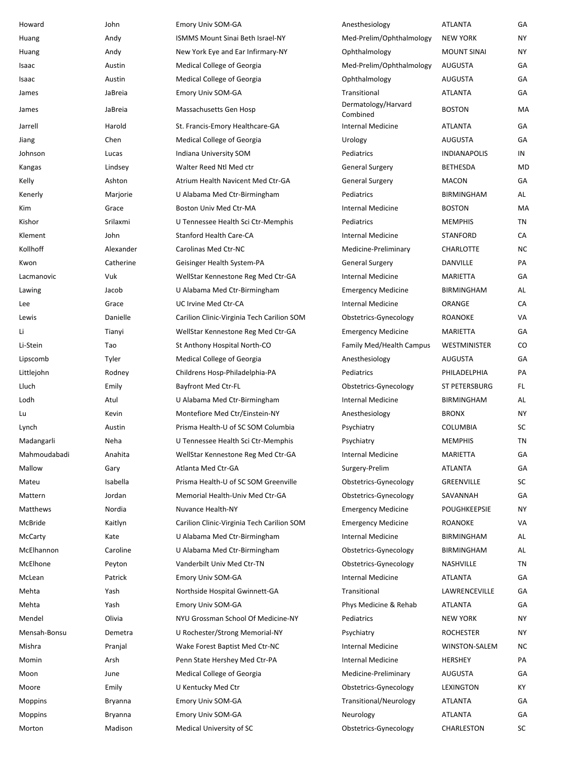| Howard         | John      | Emory Univ SOM-GA                          | Anesthesiology                  | <b>ATLANTA</b>       | GA        |
|----------------|-----------|--------------------------------------------|---------------------------------|----------------------|-----------|
| Huang          | Andy      | <b>ISMMS Mount Sinai Beth Israel-NY</b>    | Med-Prelim/Ophthalmology        | <b>NEW YORK</b>      | NY        |
| Huang          | Andy      | New York Eye and Ear Infirmary-NY          | Ophthalmology                   | <b>MOUNT SINAI</b>   | <b>NY</b> |
| Isaac          | Austin    | Medical College of Georgia                 | Med-Prelim/Ophthalmology        | AUGUSTA              | GA        |
| Isaac          | Austin    | Medical College of Georgia                 | Ophthalmology                   | AUGUSTA              | GA        |
| James          | JaBreia   | Emory Univ SOM-GA                          | Transitional                    | <b>ATLANTA</b>       | GA        |
| James          | JaBreia   | Massachusetts Gen Hosp                     | Dermatology/Harvard<br>Combined | <b>BOSTON</b>        | MA        |
| Jarrell        | Harold    | St. Francis-Emory Healthcare-GA            | Internal Medicine               | <b>ATLANTA</b>       | GA        |
| Jiang          | Chen      | Medical College of Georgia                 | Urology                         | AUGUSTA              | GA        |
| Johnson        | Lucas     | Indiana University SOM                     | Pediatrics                      | <b>INDIANAPOLIS</b>  | IN        |
| Kangas         | Lindsey   | Walter Reed Ntl Med ctr                    | <b>General Surgery</b>          | BETHESDA             | MD        |
| Kelly          | Ashton    | Atrium Health Navicent Med Ctr-GA          | <b>General Surgery</b>          | <b>MACON</b>         | GA        |
| Kenerly        | Marjorie  | U Alabama Med Ctr-Birmingham               | Pediatrics                      | <b>BIRMINGHAM</b>    | AL        |
| Kim            | Grace     | <b>Boston Univ Med Ctr-MA</b>              | Internal Medicine               | <b>BOSTON</b>        | MA        |
| Kishor         | Srilaxmi  | U Tennessee Health Sci Ctr-Memphis         | Pediatrics                      | <b>MEMPHIS</b>       | TN        |
| Klement        | John      | <b>Stanford Health Care-CA</b>             | Internal Medicine               | <b>STANFORD</b>      | CA        |
| Kollhoff       | Alexander | Carolinas Med Ctr-NC                       | Medicine-Preliminary            | <b>CHARLOTTE</b>     | <b>NC</b> |
| Kwon           | Catherine | Geisinger Health System-PA                 | <b>General Surgery</b>          | DANVILLE             | PA        |
| Lacmanovic     | Vuk       | WellStar Kennestone Reg Med Ctr-GA         | Internal Medicine               | <b>MARIETTA</b>      | GA        |
| Lawing         | Jacob     | U Alabama Med Ctr-Birmingham               | <b>Emergency Medicine</b>       | BIRMINGHAM           | AL        |
| Lee            | Grace     | UC Irvine Med Ctr-CA                       | Internal Medicine               | ORANGE               | CA        |
| Lewis          | Danielle  | Carilion Clinic-Virginia Tech Carilion SOM | Obstetrics-Gynecology           | <b>ROANOKE</b>       | VA        |
| Li             | Tianyi    | WellStar Kennestone Reg Med Ctr-GA         | <b>Emergency Medicine</b>       | MARIETTA             | GA        |
| Li-Stein       | Tao       | St Anthony Hospital North-CO               | <b>Family Med/Health Campus</b> | WESTMINISTER         | CO        |
| Lipscomb       | Tyler     | Medical College of Georgia                 | Anesthesiology                  | AUGUSTA              | GA        |
| Littlejohn     | Rodney    | Childrens Hosp-Philadelphia-PA             | Pediatrics                      | PHILADELPHIA         | PA        |
| Lluch          | Emily     | <b>Bayfront Med Ctr-FL</b>                 | Obstetrics-Gynecology           | <b>ST PETERSBURG</b> | FL.       |
| Lodh           | Atul      | U Alabama Med Ctr-Birmingham               | Internal Medicine               | BIRMINGHAM           | AL        |
| Lu             | Kevin     | Montefiore Med Ctr/Einstein-NY             | Anesthesiology                  | <b>BRONX</b>         | NY.       |
| Lynch          | Austin    | Prisma Health-U of SC SOM Columbia         | Psychiatry                      | COLUMBIA             | SC        |
| Madangarli     | Neha      | U Tennessee Health Sci Ctr-Memphis         | Psychiatry                      | <b>MEMPHIS</b>       | TN        |
| Mahmoudabadi   | Anahita   | WellStar Kennestone Reg Med Ctr-GA         | Internal Medicine               | <b>MARIETTA</b>      | GA        |
| Mallow         | Gary      | Atlanta Med Ctr-GA                         | Surgery-Prelim                  | <b>ATLANTA</b>       | GA        |
| Mateu          | Isabella  | Prisma Health-U of SC SOM Greenville       | Obstetrics-Gynecology           | GREENVILLE           | SC        |
| Mattern        | Jordan    | Memorial Health-Univ Med Ctr-GA            | Obstetrics-Gynecology           | SAVANNAH             | GA        |
| Matthews       | Nordia    | Nuvance Health-NY                          | <b>Emergency Medicine</b>       | POUGHKEEPSIE         | <b>NY</b> |
| McBride        | Kaitlyn   | Carilion Clinic-Virginia Tech Carilion SOM | <b>Emergency Medicine</b>       | ROANOKE              | VA        |
| McCarty        | Kate      | U Alabama Med Ctr-Birmingham               | Internal Medicine               | BIRMINGHAM           | AL        |
| McElhannon     | Caroline  | U Alabama Med Ctr-Birmingham               | Obstetrics-Gynecology           | BIRMINGHAM           | AL        |
| McElhone       | Peyton    | Vanderbilt Univ Med Ctr-TN                 | Obstetrics-Gynecology           | NASHVILLE            | ΤN        |
| McLean         | Patrick   | Emory Univ SOM-GA                          | Internal Medicine               | ATLANTA              | GA        |
| Mehta          | Yash      | Northside Hospital Gwinnett-GA             | Transitional                    | LAWRENCEVILLE        | GA        |
| Mehta          | Yash      | Emory Univ SOM-GA                          | Phys Medicine & Rehab           | <b>ATLANTA</b>       | GA        |
| Mendel         | Olivia    | NYU Grossman School Of Medicine-NY         | Pediatrics                      | <b>NEW YORK</b>      | ΝY        |
| Mensah-Bonsu   | Demetra   |                                            | Psychiatry                      | ROCHESTER            | NY.       |
|                |           | U Rochester/Strong Memorial-NY             | Internal Medicine               | WINSTON-SALEM        | <b>NC</b> |
| Mishra         | Pranjal   | Wake Forest Baptist Med Ctr-NC             |                                 |                      |           |
| Momin          | Arsh      | Penn State Hershey Med Ctr-PA              | Internal Medicine               | HERSHEY              | PA        |
| Moon           | June      | Medical College of Georgia                 | Medicine-Preliminary            | AUGUSTA              | GA        |
| Moore          | Emily     | U Kentucky Med Ctr                         | Obstetrics-Gynecology           | LEXINGTON            | KY        |
| Moppins        | Bryanna   | Emory Univ SOM-GA                          | Transitional/Neurology          | <b>ATLANTA</b>       | GA        |
| <b>Moppins</b> | Bryanna   | Emory Univ SOM-GA                          | Neurology                       | <b>ATLANTA</b>       | GA        |
| Morton         | Madison   | Medical University of SC                   | Obstetrics-Gynecology           | CHARLESTON           | SC        |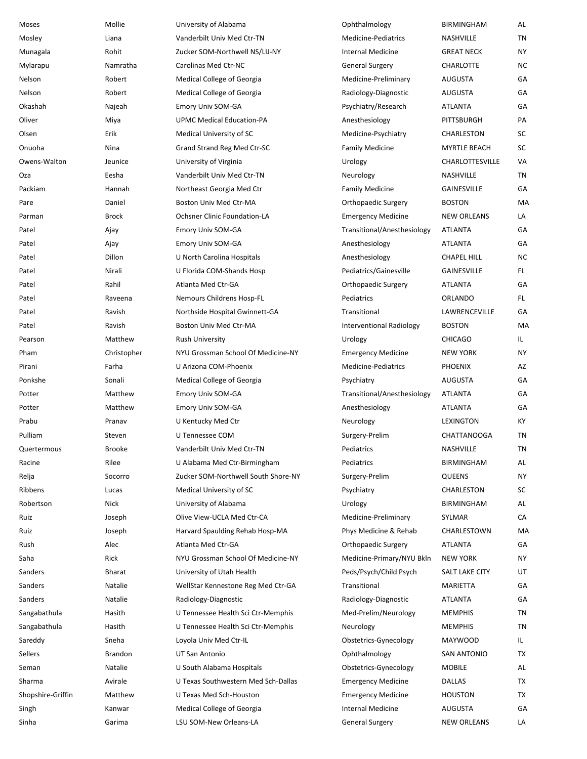| Moses             | Mollie        | University of Alabama               | Ophthalmology               | <b>BIRMINGHAM</b>   | AL        |
|-------------------|---------------|-------------------------------------|-----------------------------|---------------------|-----------|
| Mosley            | Liana         | Vanderbilt Univ Med Ctr-TN          | Medicine-Pediatrics         | NASHVILLE           | TN        |
| Munagala          | Rohit         | Zucker SOM-Northwell NS/LIJ-NY      | Internal Medicine           | <b>GREAT NECK</b>   | <b>NY</b> |
| Mylarapu          | Namratha      | Carolinas Med Ctr-NC                | <b>General Surgery</b>      | CHARLOTTE           | <b>NC</b> |
| Nelson            | Robert        | Medical College of Georgia          | Medicine-Preliminary        | AUGUSTA             | GA        |
| Nelson            | Robert        | Medical College of Georgia          | Radiology-Diagnostic        | <b>AUGUSTA</b>      | GA        |
| Okashah           | Najeah        | Emory Univ SOM-GA                   | Psychiatry/Research         | ATLANTA             | GA        |
| Oliver            | Miya          | <b>UPMC Medical Education-PA</b>    | Anesthesiology              | PITTSBURGH          | PA        |
| Olsen             | Erik          | Medical University of SC            | Medicine-Psychiatry         | CHARLESTON          | SC        |
| Onuoha            | Nina          | Grand Strand Reg Med Ctr-SC         | <b>Family Medicine</b>      | <b>MYRTLE BEACH</b> | SC        |
| Owens-Walton      | Jeunice       | University of Virginia              | Urology                     | CHARLOTTESVILLE     | VA        |
| Oza               | Eesha         | Vanderbilt Univ Med Ctr-TN          | Neurology                   | NASHVILLE           | TN        |
| Packiam           | Hannah        | Northeast Georgia Med Ctr           | <b>Family Medicine</b>      | <b>GAINESVILLE</b>  | GA        |
| Pare              | Daniel        | Boston Univ Med Ctr-MA              | Orthopaedic Surgery         | <b>BOSTON</b>       | MA        |
| Parman            | <b>Brock</b>  | <b>Ochsner Clinic Foundation-LA</b> | <b>Emergency Medicine</b>   | <b>NEW ORLEANS</b>  | LA        |
| Patel             | Ajay          | Emory Univ SOM-GA                   | Transitional/Anesthesiology | ATLANTA             | GA        |
| Patel             | Ajay          | <b>Emory Univ SOM-GA</b>            | Anesthesiology              | ATLANTA             | GA        |
| Patel             | Dillon        | U North Carolina Hospitals          | Anesthesiology              | <b>CHAPEL HILL</b>  | <b>NC</b> |
| Patel             | Nirali        | U Florida COM-Shands Hosp           | Pediatrics/Gainesville      | <b>GAINESVILLE</b>  | FL.       |
| Patel             | Rahil         | Atlanta Med Ctr-GA                  | Orthopaedic Surgery         | <b>ATLANTA</b>      | GA        |
| Patel             | Raveena       | Nemours Childrens Hosp-FL           | Pediatrics                  | <b>ORLANDO</b>      | FL.       |
| Patel             | Ravish        | Northside Hospital Gwinnett-GA      | Transitional                | LAWRENCEVILLE       | GA        |
| Patel             | Ravish        | Boston Univ Med Ctr-MA              | Interventional Radiology    | <b>BOSTON</b>       | MA        |
| Pearson           | Matthew       | <b>Rush University</b>              | Urology                     | <b>CHICAGO</b>      | IL.       |
| Pham              | Christopher   | NYU Grossman School Of Medicine-NY  | <b>Emergency Medicine</b>   | <b>NEW YORK</b>     | <b>NY</b> |
| Pirani            | Farha         | U Arizona COM-Phoenix               | Medicine-Pediatrics         | <b>PHOENIX</b>      | AZ        |
| Ponkshe           | Sonali        | Medical College of Georgia          | Psychiatry                  | <b>AUGUSTA</b>      | GA        |
| Potter            | Matthew       | Emory Univ SOM-GA                   | Transitional/Anesthesiology | ATLANTA             | GA        |
| Potter            | Matthew       | Emory Univ SOM-GA                   | Anesthesiology              | ATLANTA             | GA        |
| Prabu             | Pranav        | U Kentucky Med Ctr                  | Neurology                   | LEXINGTON           | KY        |
| Pulliam           | Steven        | U Tennessee COM                     | Surgery-Prelim              | CHATTANOOGA         | TN        |
| Quertermous       | <b>Brooke</b> | Vanderbilt Univ Med Ctr-TN          | Pediatrics                  | NASHVILLE           | ΤN        |
| Racine            | Rilee         | U Alabama Med Ctr-Birmingham        | Pediatrics                  | <b>BIRMINGHAM</b>   | AL        |
| Relja             | Socorro       | Zucker SOM-Northwell South Shore-NY | Surgery-Prelim              | QUEENS              | <b>NY</b> |
| Ribbens           | Lucas         | Medical University of SC            | Psychiatry                  | CHARLESTON          | SC        |
| Robertson         | Nick          | University of Alabama               | Urology                     | <b>BIRMINGHAM</b>   | AL        |
| Ruiz              | Joseph        | Olive View-UCLA Med Ctr-CA          | Medicine-Preliminary        | SYLMAR              | CA        |
| Ruiz              | Joseph        | Harvard Spaulding Rehab Hosp-MA     | Phys Medicine & Rehab       | CHARLESTOWN         | MA        |
| Rush              | Alec          | Atlanta Med Ctr-GA                  | Orthopaedic Surgery         | ATLANTA             | GА        |
| Saha              | Rick          | NYU Grossman School Of Medicine-NY  | Medicine-Primary/NYU Bkln   | <b>NEW YORK</b>     | <b>NY</b> |
| Sanders           | Bharat        | University of Utah Health           | Peds/Psych/Child Psych      | SALT LAKE CITY      | UT        |
| Sanders           | Natalie       | WellStar Kennestone Reg Med Ctr-GA  | Transitional                | MARIETTA            | GA        |
| Sanders           | Natalie       | Radiology-Diagnostic                | Radiology-Diagnostic        | ATLANTA             | GA        |
| Sangabathula      | Hasith        | U Tennessee Health Sci Ctr-Memphis  | Med-Prelim/Neurology        | <b>MEMPHIS</b>      | TN        |
| Sangabathula      | Hasith        | U Tennessee Health Sci Ctr-Memphis  | Neurology                   | <b>MEMPHIS</b>      | TN        |
| Sareddy           | Sneha         | Loyola Univ Med Ctr-IL              | Obstetrics-Gynecology       | <b>MAYWOOD</b>      | IL        |
| Sellers           | Brandon       | UT San Antonio                      | Ophthalmology               | SAN ANTONIO         | TX        |
| Seman             | Natalie       | U South Alabama Hospitals           | Obstetrics-Gynecology       | <b>MOBILE</b>       | AL        |
| Sharma            | Avirale       | U Texas Southwestern Med Sch-Dallas | <b>Emergency Medicine</b>   | DALLAS              | TX        |
| Shopshire-Griffin | Matthew       | U Texas Med Sch-Houston             | <b>Emergency Medicine</b>   | <b>HOUSTON</b>      | TX        |
| Singh             | Kanwar        | Medical College of Georgia          | Internal Medicine           | AUGUSTA             | GA        |
| Sinha             | Garima        | LSU SOM-New Orleans-LA              | General Surgery             | <b>NEW ORLEANS</b>  | LA        |